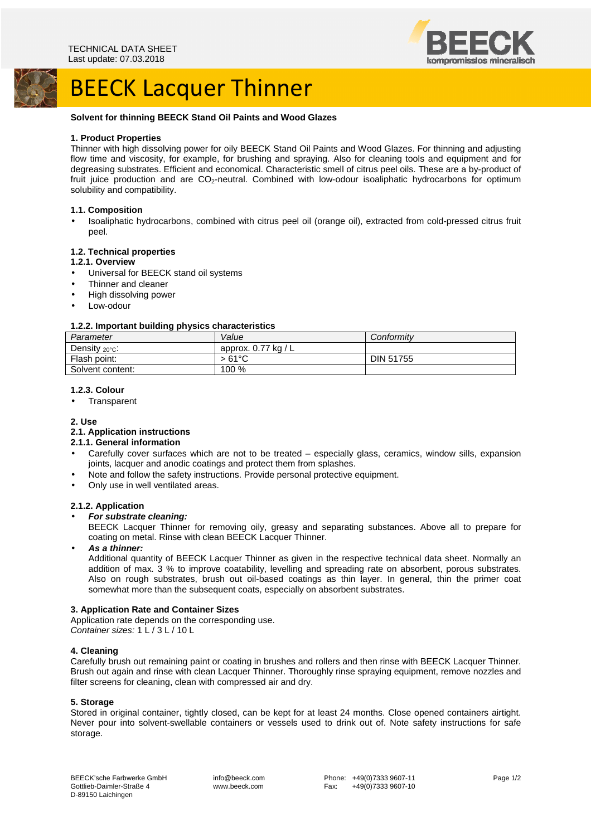



# BEECK Lacquer Thinner

## **Solvent for thinning BEECK Stand Oil Paints and Wood Glazes**

### **1. Product Properties**

Thinner with high dissolving power for oily BEECK Stand Oil Paints and Wood Glazes. For thinning and adjusting flow time and viscosity, for example, for brushing and spraying. Also for cleaning tools and equipment and for degreasing substrates. Efficient and economical. Characteristic smell of citrus peel oils. These are a by-product of fruit juice production and are CO<sub>2</sub>-neutral. Combined with low-odour isoaliphatic hydrocarbons for optimum solubility and compatibility.

#### **1.1. Composition**

• Isoaliphatic hydrocarbons, combined with citrus peel oil (orange oil), extracted from cold-pressed citrus fruit peel.

## **1.2. Technical properties**

#### **1.2.1. Overview**

- Universal for BEECK stand oil systems
- Thinner and cleaner
- High dissolving power
- Low-odour

## **1.2.2. Important building physics characteristics**

| . .<br>Parameter           | Value                 | Conformity       |
|----------------------------|-----------------------|------------------|
| Density $_{20^{\circ}C}$ : | approx. $0.77$ kg / L |                  |
| Flash point:               | $>61^{\circ}$ C       | <b>DIN 51755</b> |
| Solvent content:           | 100 %                 |                  |

#### **1.2.3. Colour**

• Transparent

### **2. Use**

#### **2.1. Application instructions**

#### **2.1.1. General information**

- Carefully cover surfaces which are not to be treated especially glass, ceramics, window sills, expansion joints, lacquer and anodic coatings and protect them from splashes.
- Note and follow the safety instructions. Provide personal protective equipment.
- Only use in well ventilated areas.

#### **2.1.2. Application**

• **For substrate cleaning:** 

BEECK Lacquer Thinner for removing oily, greasy and separating substances. Above all to prepare for coating on metal. Rinse with clean BEECK Lacquer Thinner.

• **As a thinner:** 

Additional quantity of BEECK Lacquer Thinner as given in the respective technical data sheet. Normally an addition of max. 3 % to improve coatability, levelling and spreading rate on absorbent, porous substrates. Also on rough substrates, brush out oil-based coatings as thin layer. In general, thin the primer coat somewhat more than the subsequent coats, especially on absorbent substrates.

#### **3. Application Rate and Container Sizes**

Application rate depends on the corresponding use. Container sizes: 1 L / 3 L / 10 L

#### **4. Cleaning**

Carefully brush out remaining paint or coating in brushes and rollers and then rinse with BEECK Lacquer Thinner. Brush out again and rinse with clean Lacquer Thinner. Thoroughly rinse spraying equipment, remove nozzles and filter screens for cleaning, clean with compressed air and dry.

## **5. Storage**

Stored in original container, tightly closed, can be kept for at least 24 months. Close opened containers airtight. Never pour into solvent-swellable containers or vessels used to drink out of. Note safety instructions for safe storage.

 info@beeck.com www.beeck.com